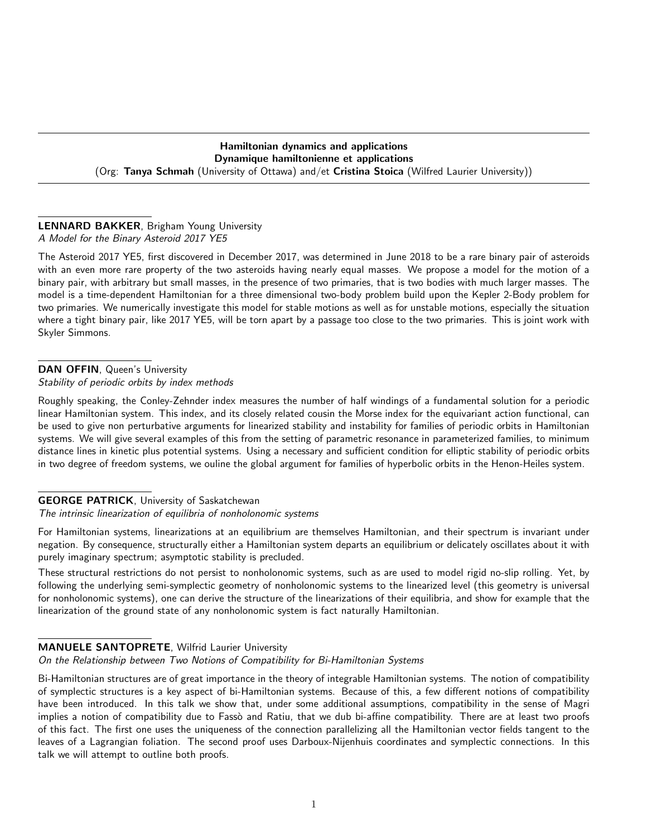### Hamiltonian dynamics and applications Dynamique hamiltonienne et applications (Org: Tanya Schmah (University of Ottawa) and/et Cristina Stoica (Wilfred Laurier University))

### LENNARD BAKKER, Brigham Young University A Model for the Binary Asteroid 2017 YE5

The Asteroid 2017 YE5, first discovered in December 2017, was determined in June 2018 to be a rare binary pair of asteroids with an even more rare property of the two asteroids having nearly equal masses. We propose a model for the motion of a binary pair, with arbitrary but small masses, in the presence of two primaries, that is two bodies with much larger masses. The model is a time-dependent Hamiltonian for a three dimensional two-body problem build upon the Kepler 2-Body problem for two primaries. We numerically investigate this model for stable motions as well as for unstable motions, especially the situation where a tight binary pair, like 2017 YE5, will be torn apart by a passage too close to the two primaries. This is joint work with Skyler Simmons.

## DAN OFFIN, Queen's University

Stability of periodic orbits by index methods

Roughly speaking, the Conley-Zehnder index measures the number of half windings of a fundamental solution for a periodic linear Hamiltonian system. This index, and its closely related cousin the Morse index for the equivariant action functional, can be used to give non perturbative arguments for linearized stability and instability for families of periodic orbits in Hamiltonian systems. We will give several examples of this from the setting of parametric resonance in parameterized families, to minimum distance lines in kinetic plus potential systems. Using a necessary and sufficient condition for elliptic stability of periodic orbits in two degree of freedom systems, we ouline the global argument for families of hyperbolic orbits in the Henon-Heiles system.

# GEORGE PATRICK, University of Saskatchewan

The intrinsic linearization of equilibria of nonholonomic systems

For Hamiltonian systems, linearizations at an equilibrium are themselves Hamiltonian, and their spectrum is invariant under negation. By consequence, structurally either a Hamiltonian system departs an equilibrium or delicately oscillates about it with purely imaginary spectrum; asymptotic stability is precluded.

These structural restrictions do not persist to nonholonomic systems, such as are used to model rigid no-slip rolling. Yet, by following the underlying semi-symplectic geometry of nonholonomic systems to the linearized level (this geometry is universal for nonholonomic systems), one can derive the structure of the linearizations of their equilibria, and show for example that the linearization of the ground state of any nonholonomic system is fact naturally Hamiltonian.

# MANUELE SANTOPRETE, Wilfrid Laurier University

On the Relationship between Two Notions of Compatibility for Bi-Hamiltonian Systems

Bi-Hamiltonian structures are of great importance in the theory of integrable Hamiltonian systems. The notion of compatibility of symplectic structures is a key aspect of bi-Hamiltonian systems. Because of this, a few different notions of compatibility have been introduced. In this talk we show that, under some additional assumptions, compatibility in the sense of Magri implies a notion of compatibility due to Fassò and Ratiu, that we dub bi-affine compatibility. There are at least two proofs of this fact. The first one uses the uniqueness of the connection parallelizing all the Hamiltonian vector fields tangent to the leaves of a Lagrangian foliation. The second proof uses Darboux-Nijenhuis coordinates and symplectic connections. In this talk we will attempt to outline both proofs.